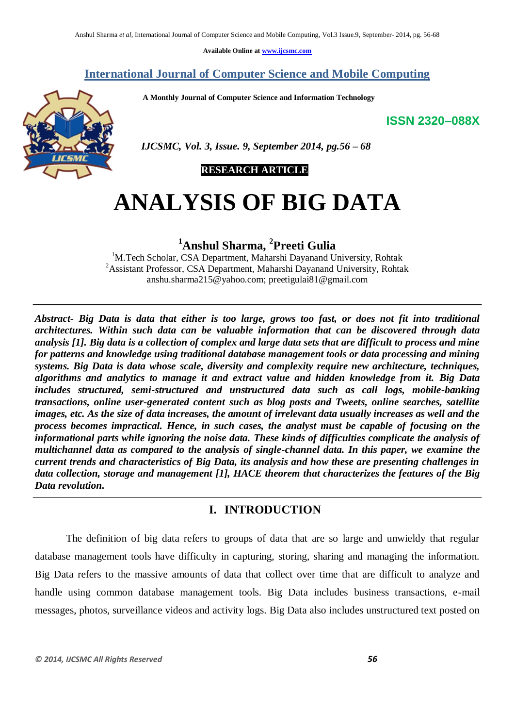**Available Online at [www.ijcsmc.com](http://www.ijcsmc.com/)**

**International Journal of Computer Science and Mobile Computing**

 **A Monthly Journal of Computer Science and Information Technology**

**ISSN 2320–088X**



 *IJCSMC, Vol. 3, Issue. 9, September 2014, pg.56 – 68*

# **RESEARCH ARTICLE**

# **ANALYSIS OF BIG DATA**

# **<sup>1</sup>Anshul Sharma, <sup>2</sup> Preeti Gulia**

<sup>1</sup>M.Tech Scholar, CSA Department, Maharshi Dayanand University, Rohtak <sup>2</sup>Assistant Professor, CSA Department, Maharshi Dayanand University, Rohtak anshu.sharma215@yahoo.com; preetigulai81@gmail.com

*Abstract- Big Data is data that either is too large, grows too fast, or does not fit into traditional architectures. Within such data can be valuable information that can be discovered through data analysis [1]. Big data is a collection of complex and large data sets that are difficult to process and mine for patterns and knowledge using traditional database management tools or data processing and mining systems. Big Data is data whose scale, diversity and complexity require new architecture, techniques, algorithms and analytics to manage it and extract value and hidden knowledge from it. Big Data includes structured, semi-structured and unstructured data such as call logs, mobile-banking transactions, online user-generated content such as blog posts and Tweets, online searches, satellite images, etc. As the size of data increases, the amount of irrelevant data usually increases as well and the process becomes impractical. Hence, in such cases, the analyst must be capable of focusing on the informational parts while ignoring the noise data. These kinds of difficulties complicate the analysis of multichannel data as compared to the analysis of single-channel data. In this paper, we examine the current trends and characteristics of Big Data, its analysis and how these are presenting challenges in data collection, storage and management [1], HACE theorem that characterizes the features of the Big Data revolution.*

# **I. INTRODUCTION**

The definition of big data refers to groups of data that are so large and unwieldy that regular database management tools have difficulty in capturing, storing, sharing and managing the information. Big Data refers to the massive amounts of data that collect over time that are difficult to analyze and handle using common database management tools. Big Data includes business transactions, e-mail messages, photos, surveillance videos and activity logs. Big Data also includes unstructured text posted on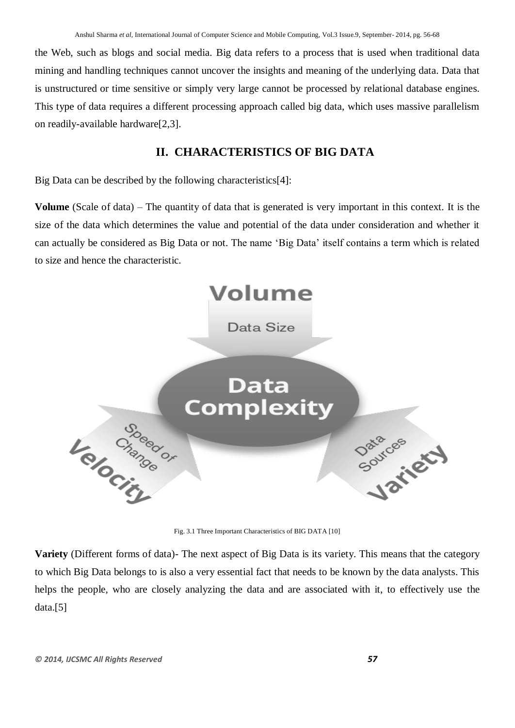the Web, such as blogs and social media. Big data refers to a process that is used when traditional data mining and handling techniques cannot uncover the insights and meaning of the underlying data. Data that is unstructured or time sensitive or simply very large cannot be processed by relational database engines. This type of data requires a different processing approach called big data, which uses massive parallelism on readily-available hardware[2,3].

# **II. CHARACTERISTICS OF BIG DATA**

Big Data can be described by the following characteristics[4]:

**Volume** (Scale of data) – The quantity of data that is generated is very important in this context. It is the size of the data which determines the value and potential of the data under consideration and whether it can actually be considered as Big Data or not. The name 'Big Data' itself contains a term which is related to size and hence the characteristic.



Fig. 3.1 Three Important Characteristics of BIG DATA [10]

**Variety** (Different forms of data)- The next aspect of Big Data is its variety. This means that the category to which Big Data belongs to is also a very essential fact that needs to be known by the data analysts. This helps the people, who are closely analyzing the data and are associated with it, to effectively use the data.[5]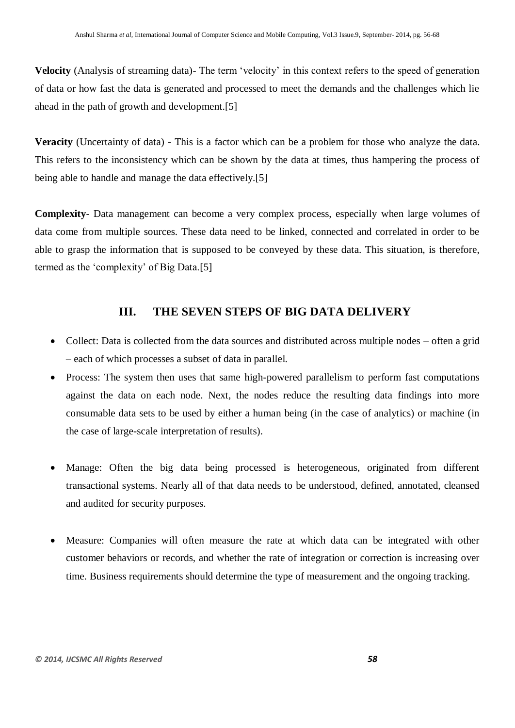**Velocity** (Analysis of streaming data)- The term 'velocity' in this context refers to the speed of generation of data or how fast the data is generated and processed to meet the demands and the challenges which lie ahead in the path of growth and development.[5]

**Veracity** (Uncertainty of data) - This is a factor which can be a problem for those who analyze the data. This refers to the inconsistency which can be shown by the data at times, thus hampering the process of being able to handle and manage the data effectively.[5]

**Complexity**- Data management can become a very complex process, especially when large volumes of data come from multiple sources. These data need to be linked, connected and correlated in order to be able to grasp the information that is supposed to be conveyed by these data. This situation, is therefore, termed as the 'complexity' of Big Data.[5]

# **III. THE SEVEN STEPS OF BIG DATA DELIVERY**

- Collect: Data is collected from the data sources and distributed across multiple nodes often a grid – each of which processes a subset of data in parallel.
- Process: The system then uses that same high-powered parallelism to perform fast computations against the data on each node. Next, the nodes reduce the resulting data findings into more consumable data sets to be used by either a human being (in the case of analytics) or machine (in the case of large-scale interpretation of results).
- Manage: Often the big data being processed is heterogeneous, originated from different transactional systems. Nearly all of that data needs to be understood, defined, annotated, cleansed and audited for security purposes.
- Measure: Companies will often measure the rate at which data can be integrated with other customer behaviors or records, and whether the rate of integration or correction is increasing over time. Business requirements should determine the type of measurement and the ongoing tracking.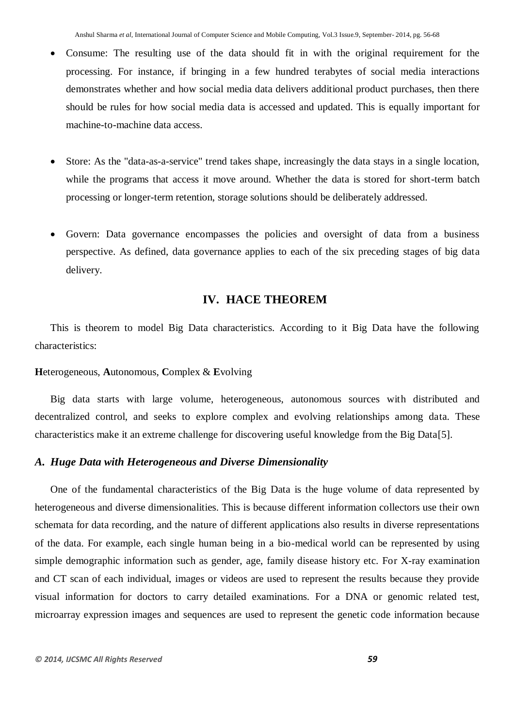- Consume: The resulting use of the data should fit in with the original requirement for the processing. For instance, if bringing in a few hundred terabytes of social media interactions demonstrates whether and how social media data delivers additional product purchases, then there should be rules for how social media data is accessed and updated. This is equally important for machine-to-machine data access.
- Store: As the "data-as-a-service" trend takes shape, increasingly the data stays in a single location, while the programs that access it move around. Whether the data is stored for short-term batch processing or longer-term retention, storage solutions should be deliberately addressed.
- Govern: Data governance encompasses the policies and oversight of data from a business perspective. As defined, data governance applies to each of the six preceding stages of big data delivery.

# **IV. HACE THEOREM**

This is theorem to model Big Data characteristics. According to it Big Data have the following characteristics:

#### **H**eterogeneous, **A**utonomous, **C**omplex & **E**volving

Big data starts with large volume, heterogeneous, autonomous sources with distributed and decentralized control, and seeks to explore complex and evolving relationships among data. These characteristics make it an extreme challenge for discovering useful knowledge from the Big Data[5].

## *A. Huge Data with Heterogeneous and Diverse Dimensionality*

One of the fundamental characteristics of the Big Data is the huge volume of data represented by heterogeneous and diverse dimensionalities. This is because different information collectors use their own schemata for data recording, and the nature of different applications also results in diverse representations of the data. For example, each single human being in a bio-medical world can be represented by using simple demographic information such as gender, age, family disease history etc. For X-ray examination and CT scan of each individual, images or videos are used to represent the results because they provide visual information for doctors to carry detailed examinations. For a DNA or genomic related test, microarray expression images and sequences are used to represent the genetic code information because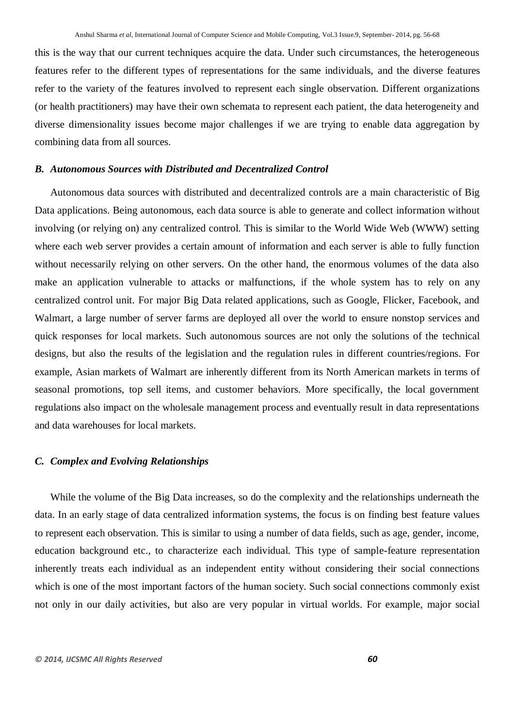this is the way that our current techniques acquire the data. Under such circumstances, the heterogeneous features refer to the different types of representations for the same individuals, and the diverse features refer to the variety of the features involved to represent each single observation. Different organizations (or health practitioners) may have their own schemata to represent each patient, the data heterogeneity and diverse dimensionality issues become major challenges if we are trying to enable data aggregation by combining data from all sources.

## *B. Autonomous Sources with Distributed and Decentralized Control*

Autonomous data sources with distributed and decentralized controls are a main characteristic of Big Data applications. Being autonomous, each data source is able to generate and collect information without involving (or relying on) any centralized control. This is similar to the World Wide Web (WWW) setting where each web server provides a certain amount of information and each server is able to fully function without necessarily relying on other servers. On the other hand, the enormous volumes of the data also make an application vulnerable to attacks or malfunctions, if the whole system has to rely on any centralized control unit. For major Big Data related applications, such as Google, Flicker, Facebook, and Walmart, a large number of server farms are deployed all over the world to ensure nonstop services and quick responses for local markets. Such autonomous sources are not only the solutions of the technical designs, but also the results of the legislation and the regulation rules in different countries/regions. For example, Asian markets of Walmart are inherently different from its North American markets in terms of seasonal promotions, top sell items, and customer behaviors. More specifically, the local government regulations also impact on the wholesale management process and eventually result in data representations and data warehouses for local markets.

#### *C. Complex and Evolving Relationships*

While the volume of the Big Data increases, so do the complexity and the relationships underneath the data. In an early stage of data centralized information systems, the focus is on finding best feature values to represent each observation. This is similar to using a number of data fields, such as age, gender, income, education background etc., to characterize each individual. This type of sample-feature representation inherently treats each individual as an independent entity without considering their social connections which is one of the most important factors of the human society. Such social connections commonly exist not only in our daily activities, but also are very popular in virtual worlds. For example, major social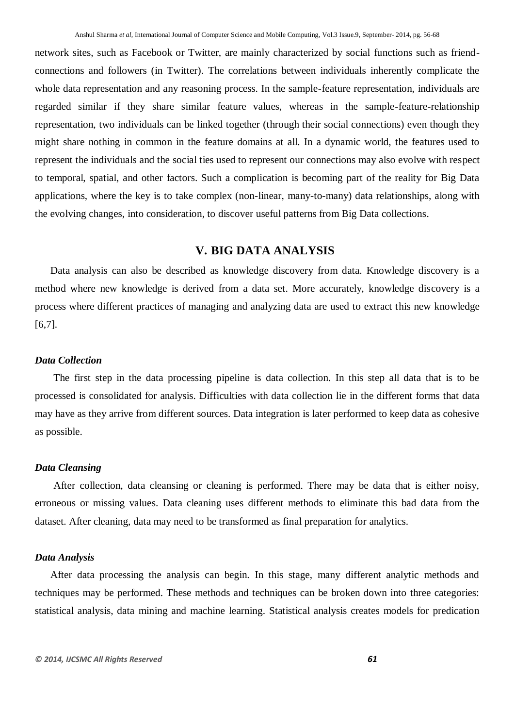network sites, such as Facebook or Twitter, are mainly characterized by social functions such as friendconnections and followers (in Twitter). The correlations between individuals inherently complicate the whole data representation and any reasoning process. In the sample-feature representation, individuals are regarded similar if they share similar feature values, whereas in the sample-feature-relationship representation, two individuals can be linked together (through their social connections) even though they might share nothing in common in the feature domains at all. In a dynamic world, the features used to represent the individuals and the social ties used to represent our connections may also evolve with respect to temporal, spatial, and other factors. Such a complication is becoming part of the reality for Big Data applications, where the key is to take complex (non-linear, many-to-many) data relationships, along with the evolving changes, into consideration, to discover useful patterns from Big Data collections.

# **V. BIG DATA ANALYSIS**

Data analysis can also be described as knowledge discovery from data. Knowledge discovery is a method where new knowledge is derived from a data set. More accurately, knowledge discovery is a process where different practices of managing and analyzing data are used to extract this new knowledge [6,7].

#### *Data Collection*

The first step in the data processing pipeline is data collection. In this step all data that is to be processed is consolidated for analysis. Difficulties with data collection lie in the different forms that data may have as they arrive from different sources. Data integration is later performed to keep data as cohesive as possible.

#### *Data Cleansing*

After collection, data cleansing or cleaning is performed. There may be data that is either noisy, erroneous or missing values. Data cleaning uses different methods to eliminate this bad data from the dataset. After cleaning, data may need to be transformed as final preparation for analytics.

#### *Data Analysis*

After data processing the analysis can begin. In this stage, many different analytic methods and techniques may be performed. These methods and techniques can be broken down into three categories: statistical analysis, data mining and machine learning. Statistical analysis creates models for predication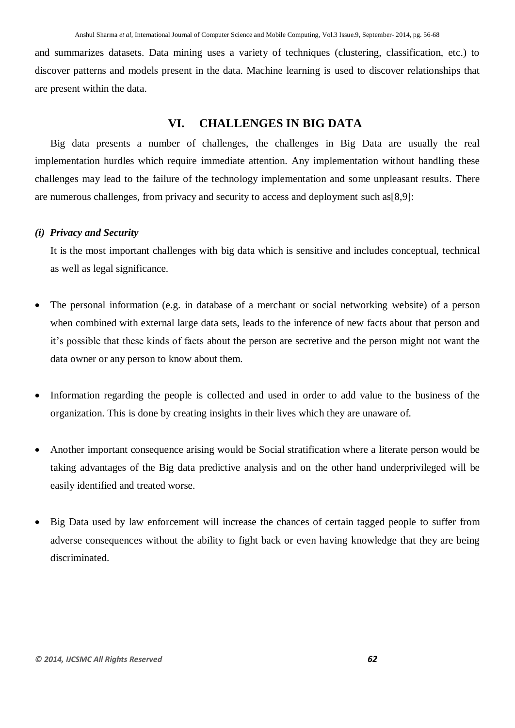and summarizes datasets. Data mining uses a variety of techniques (clustering, classification, etc.) to discover patterns and models present in the data. Machine learning is used to discover relationships that are present within the data.

# **VI. CHALLENGES IN BIG DATA**

Big data presents a number of challenges, the challenges in Big Data are usually the real implementation hurdles which require immediate attention. Any implementation without handling these challenges may lead to the failure of the technology implementation and some unpleasant results. There are numerous challenges, from privacy and security to access and deployment such as[8,9]:

#### *(i) Privacy and Security*

It is the most important challenges with big data which is sensitive and includes conceptual, technical as well as legal significance.

- The personal information (e.g. in database of a merchant or social networking website) of a person when combined with external large data sets, leads to the inference of new facts about that person and it's possible that these kinds of facts about the person are secretive and the person might not want the data owner or any person to know about them.
- Information regarding the people is collected and used in order to add value to the business of the organization. This is done by creating insights in their lives which they are unaware of.
- Another important consequence arising would be Social stratification where a literate person would be taking advantages of the Big data predictive analysis and on the other hand underprivileged will be easily identified and treated worse.
- Big Data used by law enforcement will increase the chances of certain tagged people to suffer from adverse consequences without the ability to fight back or even having knowledge that they are being discriminated.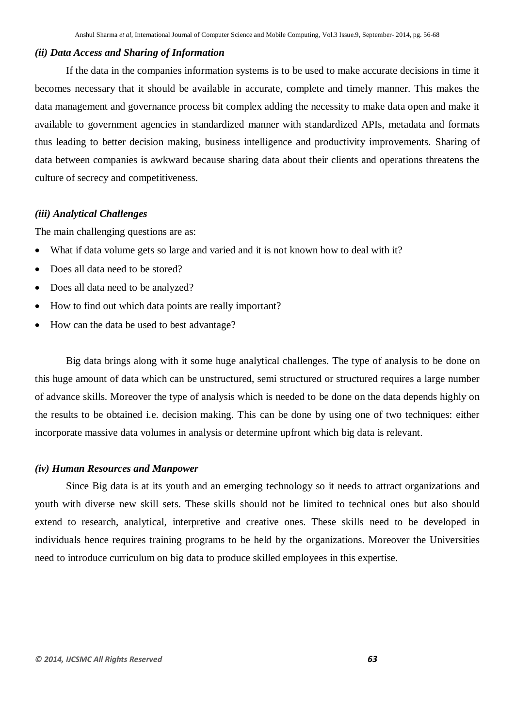#### *(ii) Data Access and Sharing of Information*

If the data in the companies information systems is to be used to make accurate decisions in time it becomes necessary that it should be available in accurate, complete and timely manner. This makes the data management and governance process bit complex adding the necessity to make data open and make it available to government agencies in standardized manner with standardized APIs, metadata and formats thus leading to better decision making, business intelligence and productivity improvements. Sharing of data between companies is awkward because sharing data about their clients and operations threatens the culture of secrecy and competitiveness.

#### *(iii) Analytical Challenges*

The main challenging questions are as:

- What if data volume gets so large and varied and it is not known how to deal with it?
- Does all data need to be stored?
- Does all data need to be analyzed?
- How to find out which data points are really important?
- How can the data be used to best advantage?

Big data brings along with it some huge analytical challenges. The type of analysis to be done on this huge amount of data which can be unstructured, semi structured or structured requires a large number of advance skills. Moreover the type of analysis which is needed to be done on the data depends highly on the results to be obtained i.e. decision making. This can be done by using one of two techniques: either incorporate massive data volumes in analysis or determine upfront which big data is relevant.

#### *(iv) Human Resources and Manpower*

Since Big data is at its youth and an emerging technology so it needs to attract organizations and youth with diverse new skill sets. These skills should not be limited to technical ones but also should extend to research, analytical, interpretive and creative ones. These skills need to be developed in individuals hence requires training programs to be held by the organizations. Moreover the Universities need to introduce curriculum on big data to produce skilled employees in this expertise.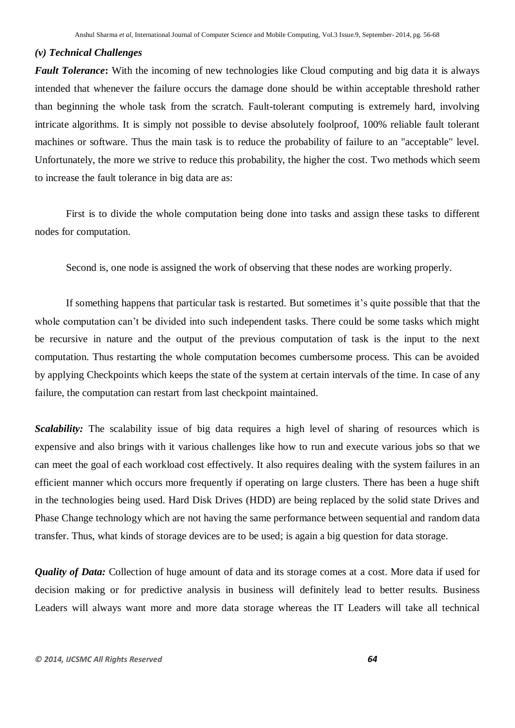#### *(v) Technical Challenges*

*Fault Tolerance***:** With the incoming of new technologies like Cloud computing and big data it is always intended that whenever the failure occurs the damage done should be within acceptable threshold rather than beginning the whole task from the scratch. Fault-tolerant computing is extremely hard, involving intricate algorithms. It is simply not possible to devise absolutely foolproof, 100% reliable fault tolerant machines or software. Thus the main task is to reduce the probability of failure to an "acceptable" level. Unfortunately, the more we strive to reduce this probability, the higher the cost. Two methods which seem to increase the fault tolerance in big data are as:

First is to divide the whole computation being done into tasks and assign these tasks to different nodes for computation.

Second is, one node is assigned the work of observing that these nodes are working properly.

If something happens that particular task is restarted. But sometimes it's quite possible that that the whole computation can't be divided into such independent tasks. There could be some tasks which might be recursive in nature and the output of the previous computation of task is the input to the next computation. Thus restarting the whole computation becomes cumbersome process. This can be avoided by applying Checkpoints which keeps the state of the system at certain intervals of the time. In case of any failure, the computation can restart from last checkpoint maintained.

*Scalability:* The scalability issue of big data requires a high level of sharing of resources which is expensive and also brings with it various challenges like how to run and execute various jobs so that we can meet the goal of each workload cost effectively. It also requires dealing with the system failures in an efficient manner which occurs more frequently if operating on large clusters. There has been a huge shift in the technologies being used. Hard Disk Drives (HDD) are being replaced by the solid state Drives and Phase Change technology which are not having the same performance between sequential and random data transfer. Thus, what kinds of storage devices are to be used; is again a big question for data storage.

*Quality of Data:* Collection of huge amount of data and its storage comes at a cost. More data if used for decision making or for predictive analysis in business will definitely lead to better results. Business Leaders will always want more and more data storage whereas the IT Leaders will take all technical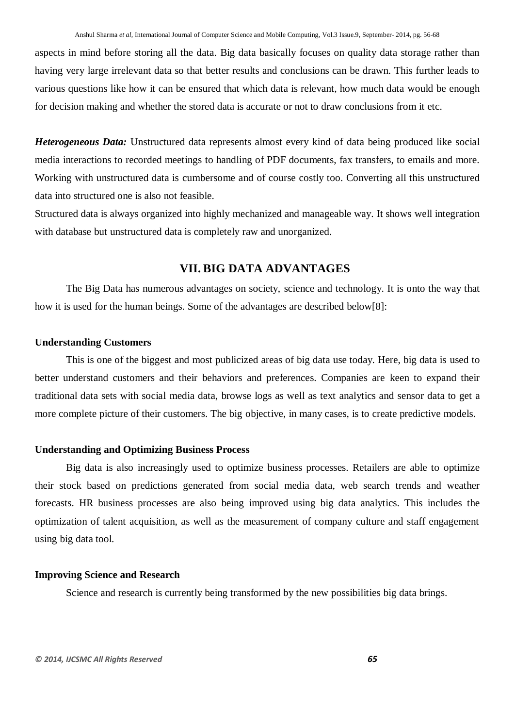aspects in mind before storing all the data. Big data basically focuses on quality data storage rather than having very large irrelevant data so that better results and conclusions can be drawn. This further leads to various questions like how it can be ensured that which data is relevant, how much data would be enough for decision making and whether the stored data is accurate or not to draw conclusions from it etc.

*Heterogeneous Data:* Unstructured data represents almost every kind of data being produced like social media interactions to recorded meetings to handling of PDF documents, fax transfers, to emails and more. Working with unstructured data is cumbersome and of course costly too. Converting all this unstructured data into structured one is also not feasible.

Structured data is always organized into highly mechanized and manageable way. It shows well integration with database but unstructured data is completely raw and unorganized.

# **VII. BIG DATA ADVANTAGES**

The Big Data has numerous advantages on society, science and technology. It is onto the way that how it is used for the human beings. Some of the advantages are described below[8]:

#### **Understanding Customers**

This is one of the biggest and most publicized areas of big data use today. Here, big data is used to better understand customers and their behaviors and preferences. Companies are keen to expand their traditional data sets with social media data, browse logs as well as text analytics and sensor data to get a more complete picture of their customers. The big objective, in many cases, is to create predictive models.

#### **Understanding and Optimizing Business Process**

Big data is also increasingly used to optimize business processes. Retailers are able to optimize their stock based on predictions generated from social media data, web search trends and weather forecasts. HR business processes are also being improved using big data analytics. This includes the optimization of talent acquisition, as well as the measurement of company culture and staff engagement using big data tool.

#### **Improving Science and Research**

Science and research is currently being transformed by the new possibilities big data brings.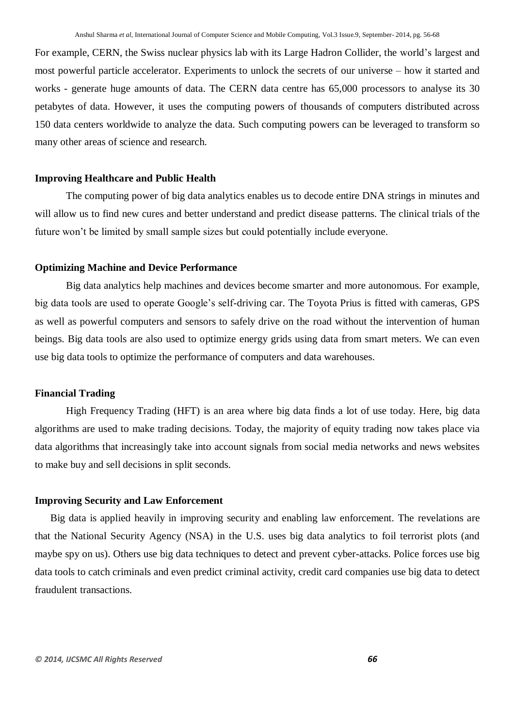For example, CERN, the Swiss nuclear physics lab with its Large Hadron Collider, the world's largest and most powerful particle accelerator. Experiments to unlock the secrets of our universe – how it started and works - generate huge amounts of data. The CERN data centre has 65,000 processors to analyse its 30 petabytes of data. However, it uses the computing powers of thousands of computers distributed across 150 data centers worldwide to analyze the data. Such computing powers can be leveraged to transform so many other areas of science and research.

## **Improving Healthcare and Public Health**

The computing power of big data analytics enables us to decode entire DNA strings in minutes and will allow us to find new cures and better understand and predict disease patterns. The clinical trials of the future won't be limited by small sample sizes but could potentially include everyone.

#### **Optimizing Machine and Device Performance**

Big data analytics help machines and devices become smarter and more autonomous. For example, big data tools are used to operate Google's self-driving car. The Toyota Prius is fitted with cameras, GPS as well as powerful computers and sensors to safely drive on the road without the intervention of human beings. Big data tools are also used to optimize energy grids using data from smart meters. We can even use big data tools to optimize the performance of computers and data warehouses.

## **Financial Trading**

High Frequency Trading (HFT) is an area where big data finds a lot of use today. Here, big data algorithms are used to make trading decisions. Today, the majority of equity trading now takes place via data algorithms that increasingly take into account signals from social media networks and news websites to make buy and sell decisions in split seconds.

#### **Improving Security and Law Enforcement**

Big data is applied heavily in improving security and enabling law enforcement. The revelations are that the National Security Agency (NSA) in the U.S. uses big data analytics to foil terrorist plots (and maybe spy on us). Others use big data techniques to detect and prevent cyber-attacks. Police forces use big data tools to catch criminals and even predict criminal activity, credit card companies use big data to detect fraudulent transactions.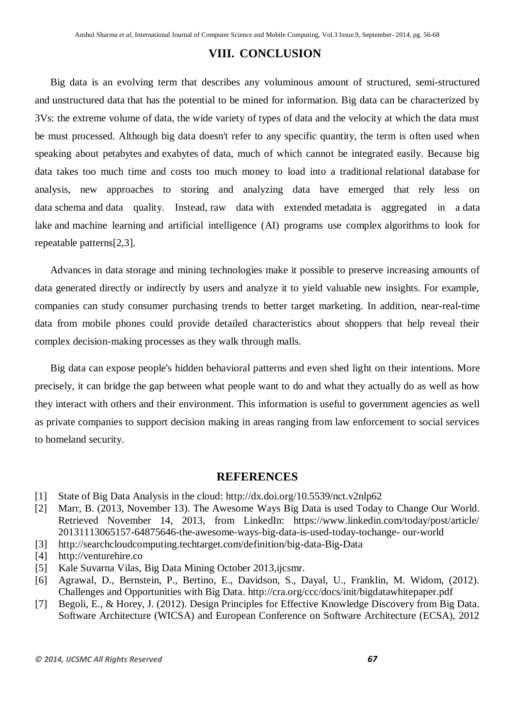## **VIII. CONCLUSION**

Big data is an evolving term that describes any voluminous amount of [structured,](http://searchsqlserver.techtarget.com/definition/data-structure) semi-structured and [unstructured data](http://searchbusinessanalytics.techtarget.com/definition/unstructured-data) that has the potential to be mined for information. Big data can be characterized by 3Vs: the extreme volume of data, the wide variety of types of data and the velocity at which the data must be must processed. Although big data doesn't refer to any specific quantity, the term is often used when speaking about [petabytes](http://searchstorage.techtarget.com/definition/petabyte) and [exabytes](http://searchstorage.techtarget.com/definition/exabyte) of data, much of which cannot be integrated easily. Because big data takes too much time and costs too much money to load into a traditional [relational database](http://searchsqlserver.techtarget.com/definition/relational-database) for analysis, new approaches to storing and analyzing data have emerged that rely less on data [schema](http://searchsqlserver.techtarget.com/definition/schema) and [data quality.](http://searchdatamanagement.techtarget.com/definition/data-quality) Instead, [raw data](http://searchdatamanagement.techtarget.com/definition/raw-data) with extended [metadata](http://whatis.techtarget.com/definition/metadata) is aggregated in a [data](http://searchaws.techtarget.com/definition/data-lake)  [lake](http://searchaws.techtarget.com/definition/data-lake) and [machine learning](http://whatis.techtarget.com/definition/machine-learning) and artificial intelligence [\(AI\)](http://searchcio.techtarget.com/definition/AI) programs use complex [algorithms](http://whatis.techtarget.com/definition/algorithm) to look for repeatable patterns[2,3].

Advances in data storage and mining technologies make it possible to preserve increasing amounts of data generated directly or indirectly by users and analyze it to yield valuable new insights. For example, companies can study consumer purchasing trends to better target marketing. In addition, near-real-time data from mobile phones could provide detailed characteristics about shoppers that help reveal their complex decision-making processes as they walk through malls.

Big data can expose people's hidden behavioral patterns and even shed light on their intentions. More precisely, it can bridge the gap between what people want to do and what they actually do as well as how they interact with others and their environment. This information is useful to government agencies as well as private companies to support decision making in areas ranging from law enforcement to social services to homeland security.

## **REFERENCES**

- [1] State of Big Data Analysis in the cloud: http://dx.doi.org/10.5539/nct.v2nlp62
- [2] Marr, B. (2013, November 13). The Awesome Ways Big Data is used Today to Change Our World. Retrieved November 14, 2013, from LinkedIn: https://www.linkedin.com/today/post/article/ 20131113065157-64875646-the-awesome-ways-big-data-is-used-today-tochange- our-world
- [3] <http://searchcloudcomputing.techtarget.com/definition/big-data-Big-Data>
- [4] [http://venturehire.co](http://venturehire.co/)
- [5] Kale Suvarna Vilas, Big Data Mining October 2013,ijcsmr.
- [6] Agrawal, D., Bernstein, P., Bertino, E., Davidson, S., Dayal, U., Franklin, M. Widom, (2012). Challenges and Opportunities with Big Data.<http://cra.org/ccc/docs/init/bigdatawhitepaper.pdf>
- [7] Begoli, E., & Horey, J. (2012). Design Principles for Effective Knowledge Discovery from Big Data. Software Architecture (WICSA) and European Conference on Software Architecture (ECSA), 2012